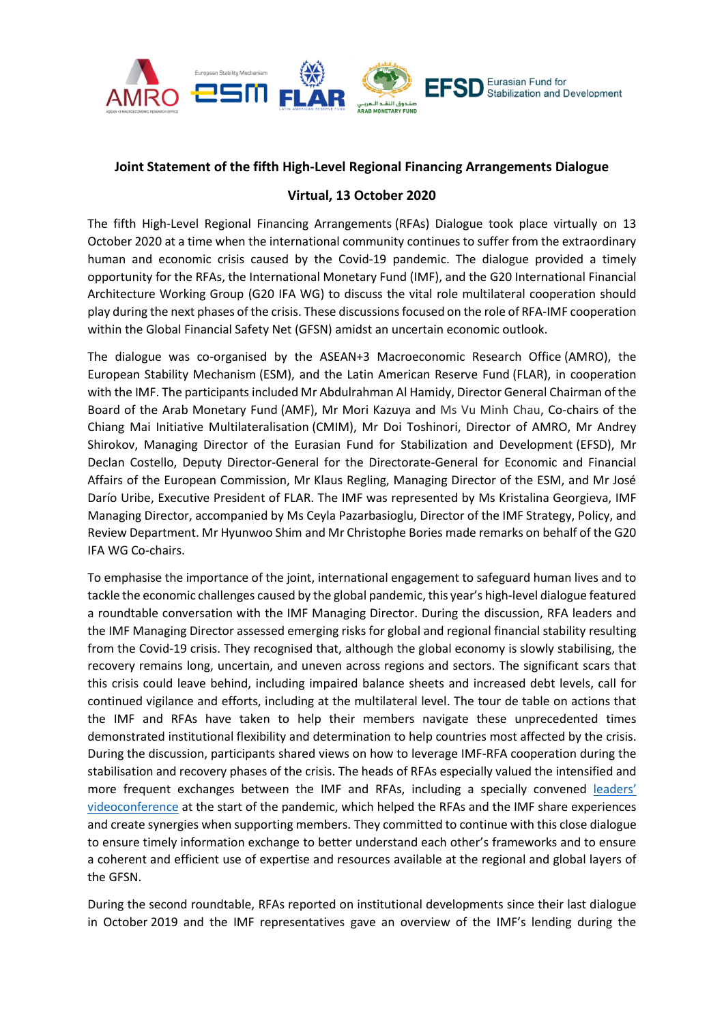

## **Joint Statement of the fifth High-Level Regional Financing Arrangements Dialogue**

## **Virtual, 13 October 2020**

The fifth High-Level Regional Financing Arrangements (RFAs) Dialogue took place virtually on 13 October 2020 at a time when the international community continues to suffer from the extraordinary human and economic crisis caused by the Covid-19 pandemic. The dialogue provided a timely opportunity for the RFAs, the International Monetary Fund (IMF), and the G20 International Financial Architecture Working Group (G20 IFA WG) to discuss the vital role multilateral cooperation should play during the next phases of the crisis. These discussions focused on the role of RFA-IMF cooperation within the Global Financial Safety Net (GFSN) amidst an uncertain economic outlook.

The dialogue was co-organised by the ASEAN+3 Macroeconomic Research Office (AMRO), the European Stability Mechanism (ESM), and the Latin American Reserve Fund (FLAR), in cooperation with the IMF. The participants included Mr Abdulrahman Al Hamidy, Director General Chairman of the Board of the Arab Monetary Fund (AMF), Mr Mori Kazuya and Ms Vu Minh Chau, Co-chairs of the Chiang Mai Initiative Multilateralisation (CMIM), Mr Doi Toshinori, Director of AMRO, Mr Andrey Shirokov, Managing Director of the Eurasian Fund for Stabilization and Development (EFSD), Mr Declan Costello, Deputy Director-General for the Directorate-General for Economic and Financial Affairs of the European Commission, Mr Klaus Regling, Managing Director of the ESM, and Mr José Darío Uribe, Executive President of FLAR. The IMF was represented by Ms Kristalina Georgieva, IMF Managing Director, accompanied by Ms Ceyla Pazarbasioglu, Director of the IMF Strategy, Policy, and Review Department. Mr Hyunwoo Shim and Mr Christophe Bories made remarks on behalf of the G20 IFA WG Co-chairs.

To emphasise the importance of the joint, international engagement to safeguard human lives and to tackle the economic challenges caused by the global pandemic, this year's high-level dialogue featured a roundtable conversation with the IMF Managing Director. During the discussion, RFA leaders and the IMF Managing Director assessed emerging risks for global and regional financial stability resulting from the Covid-19 crisis. They recognised that, although the global economy is slowly stabilising, the recovery remains long, uncertain, and uneven across regions and sectors. The significant scars that this crisis could leave behind, including impaired balance sheets and increased debt levels, call for continued vigilance and efforts, including at the multilateral level. The tour de table on actions that the IMF and RFAs have taken to help their members navigate these unprecedented times demonstrated institutional flexibility and determination to help countries most affected by the crisis. During the discussion, participants shared views on how to leverage IMF-RFA cooperation during the stabilisation and recovery phases of the crisis. The heads of RFAs especially valued the intensified and more frequent exchanges between the IMF and RFAs, including a specially convened leaders' [videoconference](https://www.esm.europa.eu/press-releases/statement-imf-esm-and-other-regional-financing-arrangements-rfa-economic-impact-covid) at the start of the pandemic, which helped the RFAs and the IMF share experiences and create synergies when supporting members. They committed to continue with this close dialogue to ensure timely information exchange to better understand each other's frameworks and to ensure a coherent and efficient use of expertise and resources available at the regional and global layers of the GFSN.

During the second roundtable, RFAs reported on institutional developments since their last dialogue in October 2019 and the IMF representatives gave an overview of the IMF's lending during the